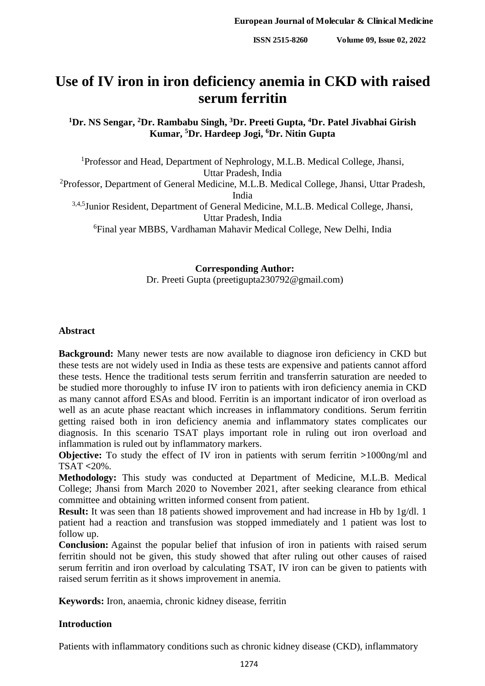# **Use of IV iron in iron deficiency anemia in CKD with raised serum ferritin**

**<sup>1</sup>Dr. NS Sengar, <sup>2</sup>Dr. Rambabu Singh, <sup>3</sup>Dr. Preeti Gupta, <sup>4</sup>Dr. Patel Jivabhai Girish Kumar, <sup>5</sup>Dr. Hardeep Jogi, <sup>6</sup>Dr. Nitin Gupta**

<sup>1</sup>Professor and Head, Department of Nephrology, M.L.B. Medical College, Jhansi, Uttar Pradesh, India <sup>2</sup>Professor, Department of General Medicine, M.L.B. Medical College, Jhansi, Uttar Pradesh, India 3,4,5 Junior Resident, Department of General Medicine, M.L.B. Medical College, Jhansi, Uttar Pradesh, India <sup>6</sup>Final year MBBS, Vardhaman Mahavir Medical College, New Delhi, India

> **Corresponding Author:** Dr. Preeti Gupta (preetigupta230792@gmail.com)

#### **Abstract**

**Background:** Many newer tests are now available to diagnose iron deficiency in CKD but these tests are not widely used in India as these tests are expensive and patients cannot afford these tests. Hence the traditional tests serum ferritin and transferrin saturation are needed to be studied more thoroughly to infuse IV iron to patients with iron deficiency anemia in CKD as many cannot afford ESAs and blood. Ferritin is an important indicator of iron overload as well as an acute phase reactant which increases in inflammatory conditions. Serum ferritin getting raised both in iron deficiency anemia and inflammatory states complicates our diagnosis. In this scenario TSAT plays important role in ruling out iron overload and inflammation is ruled out by inflammatory markers.

**Objective:** To study the effect of IV iron in patients with serum ferritin **>**1000ng/ml and TSAT **<**20%.

**Methodology:** This study was conducted at Department of Medicine, M.L.B. Medical College; Jhansi from March 2020 to November 2021, after seeking clearance from ethical committee and obtaining written informed consent from patient.

**Result:** It was seen than 18 patients showed improvement and had increase in Hb by 1g/dl. 1 patient had a reaction and transfusion was stopped immediately and 1 patient was lost to follow up.

**Conclusion:** Against the popular belief that infusion of iron in patients with raised serum ferritin should not be given, this study showed that after ruling out other causes of raised serum ferritin and iron overload by calculating TSAT, IV iron can be given to patients with raised serum ferritin as it shows improvement in anemia.

**Keywords:** Iron, anaemia, chronic kidney disease, ferritin

## **Introduction**

Patients with inflammatory conditions such as chronic kidney disease (CKD), inflammatory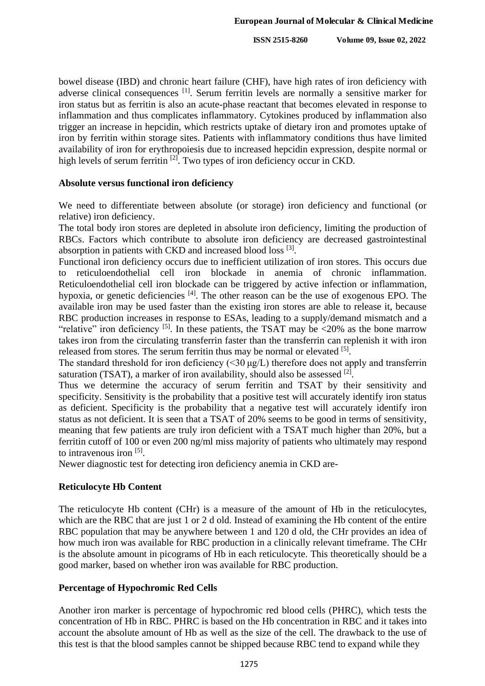bowel disease (IBD) and chronic heart failure (CHF), have high rates of iron deficiency with adverse clinical consequences [1]. Serum ferritin levels are normally a sensitive marker for iron status but as ferritin is also an acute-phase reactant that becomes elevated in response to inflammation and thus complicates inflammatory. Cytokines produced by inflammation also trigger an increase in hepcidin, which restricts uptake of dietary iron and promotes uptake of iron by ferritin within storage sites. Patients with inflammatory conditions thus have limited availability of iron for erythropoiesis due to increased hepcidin expression, despite normal or high levels of serum ferritin <sup>[2]</sup>. Two types of iron deficiency occur in CKD.

## **Absolute versus functional iron deficiency**

We need to differentiate between absolute (or storage) iron deficiency and functional (or relative) iron deficiency.

The total body iron stores are depleted in absolute iron deficiency, limiting the production of RBCs. Factors which contribute to absolute iron deficiency are decreased gastrointestinal absorption in patients with CKD and increased blood loss [3].

Functional iron deficiency occurs due to inefficient utilization of iron stores. This occurs due to reticuloendothelial cell iron blockade in anemia of chronic inflammation. Reticuloendothelial cell iron blockade can be triggered by active infection or inflammation, hypoxia, or genetic deficiencies <sup>[4]</sup>. The other reason can be the use of exogenous EPO. The available iron may be used faster than the existing iron stores are able to release it, because RBC production increases in response to ESAs, leading to a supply/demand mismatch and a "relative" iron deficiency <sup>[5]</sup>. In these patients, the TSAT may be  $\langle 20\%$  as the bone marrow takes iron from the circulating transferrin faster than the transferrin can replenish it with iron released from stores. The serum ferritin thus may be normal or elevated [5].

The standard threshold for iron deficiency  $(\leq 30 \text{ kg/L})$  therefore does not apply and transferrin saturation (TSAT), a marker of iron availability, should also be assessed  $^{[2]}$ .

Thus we determine the accuracy of serum ferritin and TSAT by their sensitivity and specificity. Sensitivity is the probability that a positive test will accurately identify iron status as deficient. Specificity is the probability that a negative test will accurately identify iron status as not deficient. It is seen that a TSAT of 20% seems to be good in terms of sensitivity, meaning that few patients are truly iron deficient with a TSAT much higher than 20%, but a ferritin cutoff of 100 or even 200 ng/ml miss majority of patients who ultimately may respond to intravenous iron [5].

Newer diagnostic test for detecting iron deficiency anemia in CKD are-

## **Reticulocyte Hb Content**

The reticulocyte Hb content (CHr) is a measure of the amount of Hb in the reticulocytes, which are the RBC that are just 1 or 2 d old. Instead of examining the Hb content of the entire RBC population that may be anywhere between 1 and 120 d old, the CHr provides an idea of how much iron was available for RBC production in a clinically relevant timeframe. The CHr is the absolute amount in picograms of Hb in each reticulocyte. This theoretically should be a good marker, based on whether iron was available for RBC production.

## **Percentage of Hypochromic Red Cells**

Another iron marker is percentage of hypochromic red blood cells (PHRC), which tests the concentration of Hb in RBC. PHRC is based on the Hb concentration in RBC and it takes into account the absolute amount of Hb as well as the size of the cell. The drawback to the use of this test is that the blood samples cannot be shipped because RBC tend to expand while they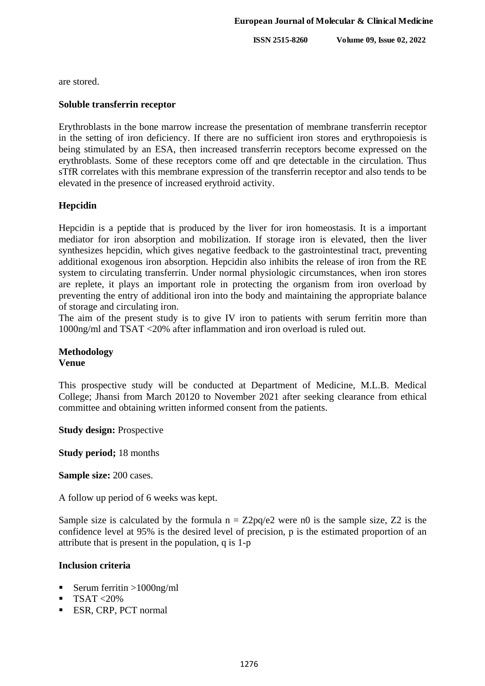**ISSN 2515-8260 Volume 09, Issue 02, 2022**

are stored.

#### **Soluble transferrin receptor**

Erythroblasts in the bone marrow increase the presentation of membrane transferrin receptor in the setting of iron deficiency. If there are no sufficient iron stores and erythropoiesis is being stimulated by an ESA, then increased transferrin receptors become expressed on the erythroblasts. Some of these receptors come off and qre detectable in the circulation. Thus sTfR correlates with this membrane expression of the transferrin receptor and also tends to be elevated in the presence of increased erythroid activity.

## **Hepcidin**

Hepcidin is a peptide that is produced by the liver for iron homeostasis. It is a important mediator for iron absorption and mobilization. If storage iron is elevated, then the liver synthesizes hepcidin, which gives negative feedback to the gastrointestinal tract, preventing additional exogenous iron absorption. Hepcidin also inhibits the release of iron from the RE system to circulating transferrin. Under normal physiologic circumstances, when iron stores are replete, it plays an important role in protecting the organism from iron overload by preventing the entry of additional iron into the body and maintaining the appropriate balance of storage and circulating iron.

The aim of the present study is to give IV iron to patients with serum ferritin more than 1000ng/ml and TSAT <20% after inflammation and iron overload is ruled out.

#### **Methodology Venue**

This prospective study will be conducted at Department of Medicine, M.L.B. Medical College; Jhansi from March 20120 to November 2021 after seeking clearance from ethical committee and obtaining written informed consent from the patients.

**Study design:** Prospective

**Study period;** 18 months

**Sample size:** 200 cases.

A follow up period of 6 weeks was kept.

Sample size is calculated by the formula  $n = Z2pq/e2$  were n0 is the sample size, Z2 is the confidence level at 95% is the desired level of precision, p is the estimated proportion of an attribute that is present in the population, q is 1-p

## **Inclusion criteria**

- Serum ferritin  $>1000$ ng/ml
- $\blacksquare$  TSAT <20%
- **ESR, CRP, PCT normal**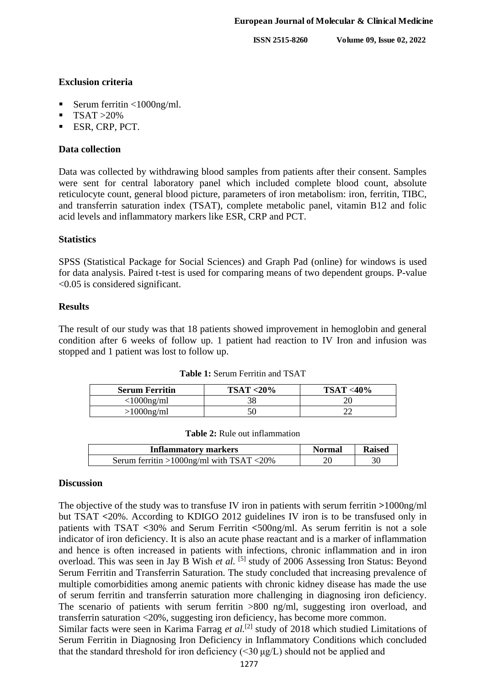**ISSN 2515-8260 Volume 09, Issue 02, 2022**

### **Exclusion criteria**

- Serum ferritin <1000ng/ml.
- $TSAT > 20\%$
- **ESR, CRP, PCT.**

## **Data collection**

Data was collected by withdrawing blood samples from patients after their consent. Samples were sent for central laboratory panel which included complete blood count, absolute reticulocyte count, general blood picture, parameters of iron metabolism: iron, ferritin, TIBC, and transferrin saturation index (TSAT), complete metabolic panel, vitamin B12 and folic acid levels and inflammatory markers like ESR, CRP and PCT.

#### **Statistics**

SPSS (Statistical Package for Social Sciences) and Graph Pad (online) for windows is used for data analysis. Paired t-test is used for comparing means of two dependent groups. P-value <0.05 is considered significant.

#### **Results**

The result of our study was that 18 patients showed improvement in hemoglobin and general condition after 6 weeks of follow up. 1 patient had reaction to IV Iron and infusion was stopped and 1 patient was lost to follow up.

| <b>Serum Ferritin</b> | $TSAT < 20\%$ | $TSAT < 40\%$ |
|-----------------------|---------------|---------------|
| $<$ 1000ng/ml         |               |               |
| $>1000$ ng/ml         |               |               |

**Table 1:** Serum Ferritin and TSAT

| Table 2: Rule out inflammation |  |
|--------------------------------|--|
|--------------------------------|--|

| <b>Inflammatory markers</b>              | <b>Normal</b> | <b>Raised</b> |
|------------------------------------------|---------------|---------------|
| Serum ferritin >1000ng/ml with TSAT <20% |               | 30            |

#### **Discussion**

The objective of the study was to transfuse IV iron in patients with serum ferritin **>**1000ng/ml but TSAT **<**20%. According to KDIGO 2012 guidelines IV iron is to be transfused only in patients with TSAT **<**30% and Serum Ferritin **<**500ng/ml. As serum ferritin is not a sole indicator of iron deficiency. It is also an acute phase reactant and is a marker of inflammation and hence is often increased in patients with infections, chronic inflammation and in iron overload. This was seen in Jay B Wish *et al.* <sup>[5]</sup> study of 2006 Assessing Iron Status: Beyond Serum Ferritin and Transferrin Saturation. The study concluded that increasing prevalence of multiple comorbidities among anemic patients with chronic kidney disease has made the use of serum ferritin and transferrin saturation more challenging in diagnosing iron deficiency. The scenario of patients with serum ferritin >800 ng/ml, suggesting iron overload, and transferrin saturation <20%, suggesting iron deficiency, has become more common. Similar facts were seen in Karima Farrag *et al.*<sup>[2]</sup> study of 2018 which studied Limitations of

Serum Ferritin in Diagnosing Iron Deficiency in Inflammatory Conditions which concluded that the standard threshold for iron deficiency (<30 μg/L) should not be applied and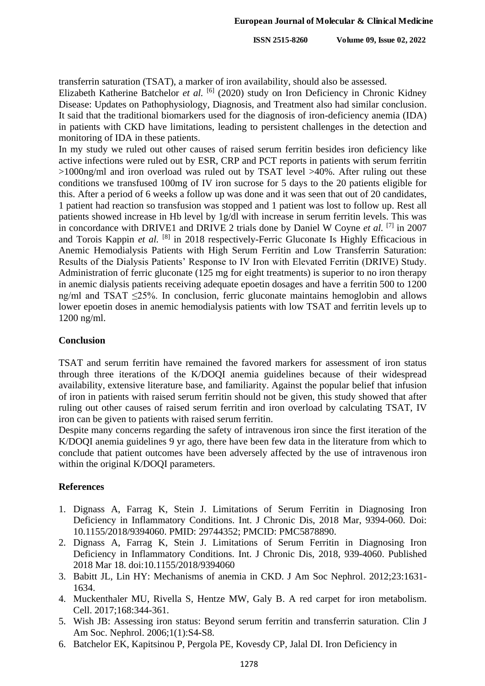transferrin saturation (TSAT), a marker of iron availability, should also be assessed.

Elizabeth Katherine Batchelor et al. <sup>[6]</sup> (2020) study on Iron Deficiency in Chronic Kidney Disease: Updates on Pathophysiology, Diagnosis, and Treatment also had similar conclusion. It said that the traditional biomarkers used for the diagnosis of iron-deficiency anemia (IDA) in patients with CKD have limitations, leading to persistent challenges in the detection and monitoring of IDA in these patients.

In my study we ruled out other causes of raised serum ferritin besides iron deficiency like active infections were ruled out by ESR, CRP and PCT reports in patients with serum ferritin >1000ng/ml and iron overload was ruled out by TSAT level >40%. After ruling out these conditions we transfused 100mg of IV iron sucrose for 5 days to the 20 patients eligible for this. After a period of 6 weeks a follow up was done and it was seen that out of 20 candidates, 1 patient had reaction so transfusion was stopped and 1 patient was lost to follow up. Rest all patients showed increase in Hb level by 1g/dl with increase in serum ferritin levels. This was in concordance with DRIVE1 and DRIVE 2 trials done by Daniel W Coyne *et al.* [7] in 2007 and Torois Kappin *et al.* [8] in 2018 respectively-Ferric Gluconate Is Highly Efficacious in Anemic Hemodialysis Patients with High Serum Ferritin and Low Transferrin Saturation: Results of the Dialysis Patients' Response to IV Iron with Elevated Ferritin (DRIVE) Study. Administration of ferric gluconate (125 mg for eight treatments) is superior to no iron therapy in anemic dialysis patients receiving adequate epoetin dosages and have a ferritin 500 to 1200 ng/ml and TSAT ≤25%. In conclusion, ferric gluconate maintains hemoglobin and allows lower epoetin doses in anemic hemodialysis patients with low TSAT and ferritin levels up to 1200 ng/ml.

## **Conclusion**

TSAT and serum ferritin have remained the favored markers for assessment of iron status through three iterations of the K/DOQI anemia guidelines because of their widespread availability, extensive literature base, and familiarity. Against the popular belief that infusion of iron in patients with raised serum ferritin should not be given, this study showed that after ruling out other causes of raised serum ferritin and iron overload by calculating TSAT, IV iron can be given to patients with raised serum ferritin.

Despite many concerns regarding the safety of intravenous iron since the first iteration of the K/DOQI anemia guidelines 9 yr ago, there have been few data in the literature from which to conclude that patient outcomes have been adversely affected by the use of intravenous iron within the original K/DOQI parameters.

#### **References**

- 1. Dignass A, Farrag K, Stein J. Limitations of Serum Ferritin in Diagnosing Iron Deficiency in Inflammatory Conditions. Int. J Chronic Dis, 2018 Mar, 9394-060. Doi: 10.1155/2018/9394060. PMID: 29744352; PMCID: PMC5878890.
- 2. Dignass A, Farrag K, Stein J. Limitations of Serum Ferritin in Diagnosing Iron Deficiency in Inflammatory Conditions. Int. J Chronic Dis, 2018, 939-4060. Published 2018 Mar 18. doi:10.1155/2018/9394060
- 3. Babitt JL, Lin HY: Mechanisms of anemia in CKD. J Am Soc Nephrol. 2012;23:1631- 1634.
- 4. Muckenthaler MU, Rivella S, Hentze MW, Galy B. A red carpet for iron metabolism. Cell. 2017;168:344-361.
- 5. Wish JB: Assessing iron status: Beyond serum ferritin and transferrin saturation. Clin J Am Soc. Nephrol. 2006;1(1):S4-S8.
- 6. Batchelor EK, Kapitsinou P, Pergola PE, Kovesdy CP, Jalal DI. Iron Deficiency in